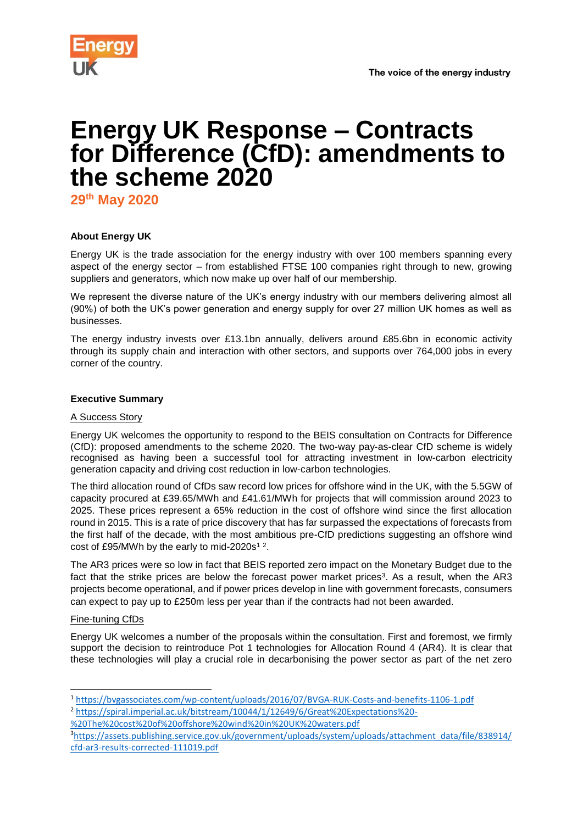



# **Energy UK Response – Contracts for Difference (CfD): amendments to the scheme 2020**

**29th May 2020**

# **About Energy UK**

Energy UK is the trade association for the energy industry with over 100 members spanning every aspect of the energy sector – from established FTSE 100 companies right through to new, growing suppliers and generators, which now make up over half of our membership.

We represent the diverse nature of the UK's energy industry with our members delivering almost all (90%) of both the UK's power generation and energy supply for over 27 million UK homes as well as businesses.

The energy industry invests over £13.1bn annually, delivers around £85.6bn in economic activity through its supply chain and interaction with other sectors, and supports over 764,000 jobs in every corner of the country.

### **Executive Summary**

## A Success Story

Energy UK welcomes the opportunity to respond to the BEIS consultation on Contracts for Difference (CfD): proposed amendments to the scheme 2020. The two-way pay-as-clear CfD scheme is widely recognised as having been a successful tool for attracting investment in low-carbon electricity generation capacity and driving cost reduction in low-carbon technologies.

The third allocation round of CfDs saw record low prices for offshore wind in the UK, with the 5.5GW of capacity procured at £39.65/MWh and £41.61/MWh for projects that will commission around 2023 to 2025. These prices represent a 65% reduction in the cost of offshore wind since the first allocation round in 2015. This is a rate of price discovery that has far surpassed the expectations of forecasts from the first half of the decade, with the most ambitious pre-CfD predictions suggesting an offshore wind cost of £95/MWh by the early to mid-2020s<sup>12</sup>.

The AR3 prices were so low in fact that BEIS reported zero impact on the Monetary Budget due to the fact that the strike prices are below the forecast power market prices<sup>3</sup>. As a result, when the AR3 projects become operational, and if power prices develop in line with government forecasts, consumers can expect to pay up to £250m less per year than if the contracts had not been awarded.

#### Fine-tuning CfDs

1

Energy UK welcomes a number of the proposals within the consultation. First and foremost, we firmly support the decision to reintroduce Pot 1 technologies for Allocation Round 4 (AR4). It is clear that these technologies will play a crucial role in decarbonising the power sector as part of the net zero

- [%20The%20cost%20of%20offshore%20wind%20in%20UK%20waters.pdf](https://spiral.imperial.ac.uk/bitstream/10044/1/12649/6/Great%20Expectations%20-%20The%20cost%20of%20offshore%20wind%20in%20UK%20waters.pdf)
- 3[https://assets.publishing.service.gov.uk/government/uploads/system/uploads/attachment\\_data/file/838914/](https://assets.publishing.service.gov.uk/government/uploads/system/uploads/attachment_data/file/838914/cfd-ar3-results-corrected-111019.pdf) [cfd-ar3-results-corrected-111019.pdf](https://assets.publishing.service.gov.uk/government/uploads/system/uploads/attachment_data/file/838914/cfd-ar3-results-corrected-111019.pdf)

<sup>1</sup> <https://bvgassociates.com/wp-content/uploads/2016/07/BVGA-RUK-Costs-and-benefits-1106-1.pdf> <sup>2</sup> [https://spiral.imperial.ac.uk/bitstream/10044/1/12649/6/Great%20Expectations%20-](https://spiral.imperial.ac.uk/bitstream/10044/1/12649/6/Great%20Expectations%20-%20The%20cost%20of%20offshore%20wind%20in%20UK%20waters.pdf)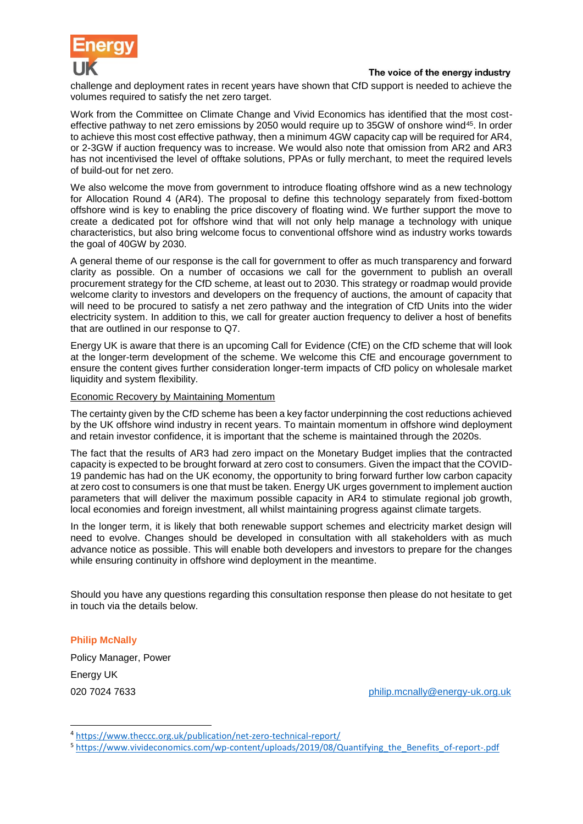

challenge and deployment rates in recent years have shown that CfD support is needed to achieve the volumes required to satisfy the net zero target.

Work from the Committee on Climate Change and Vivid Economics has identified that the most costeffective pathway to net zero emissions by 2050 would require up to 35GW of onshore wind<sup>45</sup>. In order to achieve this most cost effective pathway, then a minimum 4GW capacity cap will be required for AR4, or 2-3GW if auction frequency was to increase. We would also note that omission from AR2 and AR3 has not incentivised the level of offtake solutions, PPAs or fully merchant, to meet the required levels of build-out for net zero.

We also welcome the move from government to introduce floating offshore wind as a new technology for Allocation Round 4 (AR4). The proposal to define this technology separately from fixed-bottom offshore wind is key to enabling the price discovery of floating wind. We further support the move to create a dedicated pot for offshore wind that will not only help manage a technology with unique characteristics, but also bring welcome focus to conventional offshore wind as industry works towards the goal of 40GW by 2030.

A general theme of our response is the call for government to offer as much transparency and forward clarity as possible. On a number of occasions we call for the government to publish an overall procurement strategy for the CfD scheme, at least out to 2030. This strategy or roadmap would provide welcome clarity to investors and developers on the frequency of auctions, the amount of capacity that will need to be procured to satisfy a net zero pathway and the integration of CfD Units into the wider electricity system. In addition to this, we call for greater auction frequency to deliver a host of benefits that are outlined in our response to Q7.

Energy UK is aware that there is an upcoming Call for Evidence (CfE) on the CfD scheme that will look at the longer-term development of the scheme. We welcome this CfE and encourage government to ensure the content gives further consideration longer-term impacts of CfD policy on wholesale market liquidity and system flexibility.

#### Economic Recovery by Maintaining Momentum

The certainty given by the CfD scheme has been a key factor underpinning the cost reductions achieved by the UK offshore wind industry in recent years. To maintain momentum in offshore wind deployment and retain investor confidence, it is important that the scheme is maintained through the 2020s.

The fact that the results of AR3 had zero impact on the Monetary Budget implies that the contracted capacity is expected to be brought forward at zero cost to consumers. Given the impact that the COVID-19 pandemic has had on the UK economy, the opportunity to bring forward further low carbon capacity at zero cost to consumers is one that must be taken. Energy UK urges government to implement auction parameters that will deliver the maximum possible capacity in AR4 to stimulate regional job growth, local economies and foreign investment, all whilst maintaining progress against climate targets.

In the longer term, it is likely that both renewable support schemes and electricity market design will need to evolve. Changes should be developed in consultation with all stakeholders with as much advance notice as possible. This will enable both developers and investors to prepare for the changes while ensuring continuity in offshore wind deployment in the meantime.

Should you have any questions regarding this consultation response then please do not hesitate to get in touch via the details below.

**Philip McNally**

1

Policy Manager, Power Energy UK

020 7024 7633 [philip.mcnally@energy-uk.org.uk](mailto:philip.mcnally@energy-uk.org.uk)

<sup>4</sup> <https://www.theccc.org.uk/publication/net-zero-technical-report/>

<sup>5</sup> [https://www.vivideconomics.com/wp-content/uploads/2019/08/Quantifying\\_the\\_Benefits\\_of-report-.pdf](https://www.vivideconomics.com/wp-content/uploads/2019/08/Quantifying_the_Benefits_of-report-.pdf)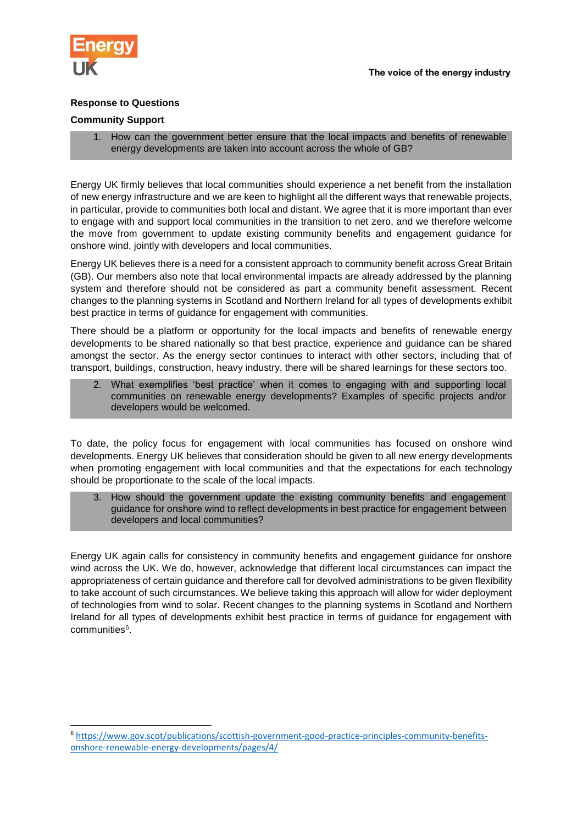

1

## **Response to Questions**

#### **Community Support**

1. How can the government better ensure that the local impacts and benefits of renewable energy developments are taken into account across the whole of GB?

Energy UK firmly believes that local communities should experience a net benefit from the installation of new energy infrastructure and we are keen to highlight all the different ways that renewable projects, in particular, provide to communities both local and distant. We agree that it is more important than ever to engage with and support local communities in the transition to net zero, and we therefore welcome the move from government to update existing community benefits and engagement guidance for onshore wind, jointly with developers and local communities.

Energy UK believes there is a need for a consistent approach to community benefit across Great Britain (GB). Our members also note that local environmental impacts are already addressed by the planning system and therefore should not be considered as part a community benefit assessment. Recent changes to the planning systems in Scotland and Northern Ireland for all types of developments exhibit best practice in terms of guidance for engagement with communities.

There should be a platform or opportunity for the local impacts and benefits of renewable energy developments to be shared nationally so that best practice, experience and guidance can be shared amongst the sector. As the energy sector continues to interact with other sectors, including that of transport, buildings, construction, heavy industry, there will be shared learnings for these sectors too.

2. What exemplifies 'best practice' when it comes to engaging with and supporting local communities on renewable energy developments? Examples of specific projects and/or developers would be welcomed.

To date, the policy focus for engagement with local communities has focused on onshore wind developments. Energy UK believes that consideration should be given to all new energy developments when promoting engagement with local communities and that the expectations for each technology should be proportionate to the scale of the local impacts.

3. How should the government update the existing community benefits and engagement guidance for onshore wind to reflect developments in best practice for engagement between developers and local communities?

Energy UK again calls for consistency in community benefits and engagement guidance for onshore wind across the UK. We do, however, acknowledge that different local circumstances can impact the appropriateness of certain guidance and therefore call for devolved administrations to be given flexibility to take account of such circumstances. We believe taking this approach will allow for wider deployment of technologies from wind to solar. Recent changes to the planning systems in Scotland and Northern Ireland for all types of developments exhibit best practice in terms of guidance for engagement with communities<sup>6</sup>.

<sup>6</sup> [https://www.gov.scot/publications/scottish-government-good-practice-principles-community-benefits](https://www.gov.scot/publications/scottish-government-good-practice-principles-community-benefits-onshore-renewable-energy-developments/pages/4/)[onshore-renewable-energy-developments/pages/4/](https://www.gov.scot/publications/scottish-government-good-practice-principles-community-benefits-onshore-renewable-energy-developments/pages/4/)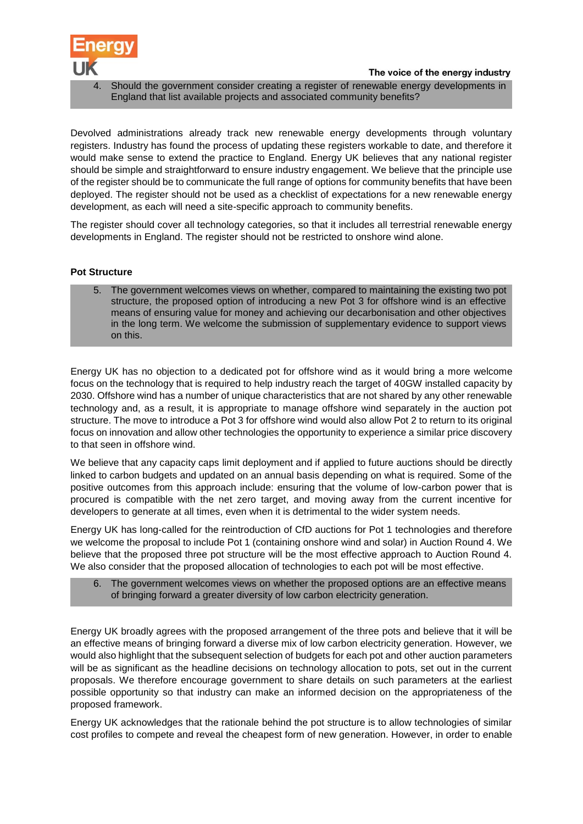

Should the government consider creating a register of renewable energy developments in England that list available projects and associated community benefits?

Devolved administrations already track new renewable energy developments through voluntary registers. Industry has found the process of updating these registers workable to date, and therefore it would make sense to extend the practice to England. Energy UK believes that any national register should be simple and straightforward to ensure industry engagement. We believe that the principle use of the register should be to communicate the full range of options for community benefits that have been deployed. The register should not be used as a checklist of expectations for a new renewable energy development, as each will need a site-specific approach to community benefits.

The register should cover all technology categories, so that it includes all terrestrial renewable energy developments in England. The register should not be restricted to onshore wind alone.

#### **Pot Structure**

5. The government welcomes views on whether, compared to maintaining the existing two pot structure, the proposed option of introducing a new Pot 3 for offshore wind is an effective means of ensuring value for money and achieving our decarbonisation and other objectives in the long term. We welcome the submission of supplementary evidence to support views on this.

Energy UK has no objection to a dedicated pot for offshore wind as it would bring a more welcome focus on the technology that is required to help industry reach the target of 40GW installed capacity by 2030. Offshore wind has a number of unique characteristics that are not shared by any other renewable technology and, as a result, it is appropriate to manage offshore wind separately in the auction pot structure. The move to introduce a Pot 3 for offshore wind would also allow Pot 2 to return to its original focus on innovation and allow other technologies the opportunity to experience a similar price discovery to that seen in offshore wind.

We believe that any capacity caps limit deployment and if applied to future auctions should be directly linked to carbon budgets and updated on an annual basis depending on what is required. Some of the positive outcomes from this approach include: ensuring that the volume of low-carbon power that is procured is compatible with the net zero target, and moving away from the current incentive for developers to generate at all times, even when it is detrimental to the wider system needs.

Energy UK has long-called for the reintroduction of CfD auctions for Pot 1 technologies and therefore we welcome the proposal to include Pot 1 (containing onshore wind and solar) in Auction Round 4. We believe that the proposed three pot structure will be the most effective approach to Auction Round 4. We also consider that the proposed allocation of technologies to each pot will be most effective.

# 6. The government welcomes views on whether the proposed options are an effective means of bringing forward a greater diversity of low carbon electricity generation.

Energy UK broadly agrees with the proposed arrangement of the three pots and believe that it will be an effective means of bringing forward a diverse mix of low carbon electricity generation. However, we would also highlight that the subsequent selection of budgets for each pot and other auction parameters will be as significant as the headline decisions on technology allocation to pots, set out in the current proposals. We therefore encourage government to share details on such parameters at the earliest possible opportunity so that industry can make an informed decision on the appropriateness of the proposed framework.

Energy UK acknowledges that the rationale behind the pot structure is to allow technologies of similar cost profiles to compete and reveal the cheapest form of new generation. However, in order to enable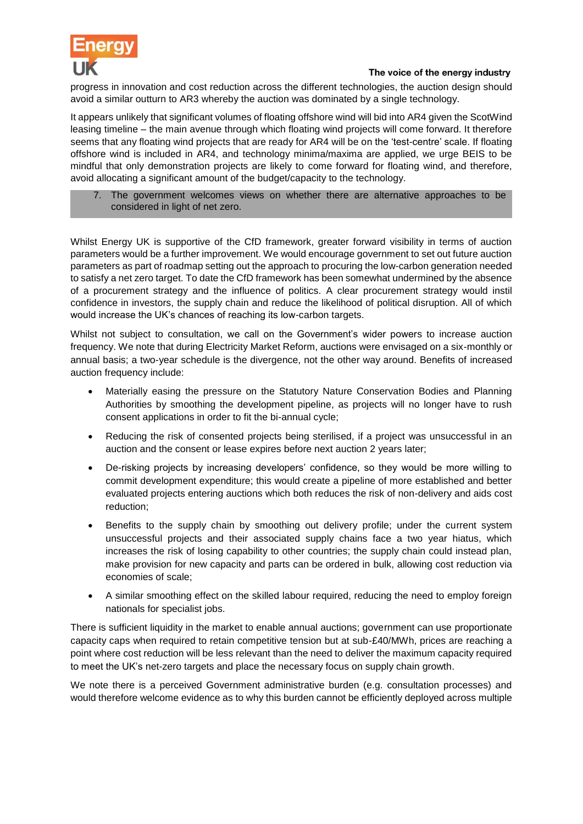

progress in innovation and cost reduction across the different technologies, the auction design should avoid a similar outturn to AR3 whereby the auction was dominated by a single technology.

It appears unlikely that significant volumes of floating offshore wind will bid into AR4 given the ScotWind leasing timeline – the main avenue through which floating wind projects will come forward. It therefore seems that any floating wind projects that are ready for AR4 will be on the 'test-centre' scale. If floating offshore wind is included in AR4, and technology minima/maxima are applied, we urge BEIS to be mindful that only demonstration projects are likely to come forward for floating wind, and therefore, avoid allocating a significant amount of the budget/capacity to the technology.

7. The government welcomes views on whether there are alternative approaches to be considered in light of net zero.

Whilst Energy UK is supportive of the CfD framework, greater forward visibility in terms of auction parameters would be a further improvement. We would encourage government to set out future auction parameters as part of roadmap setting out the approach to procuring the low-carbon generation needed to satisfy a net zero target. To date the CfD framework has been somewhat undermined by the absence of a procurement strategy and the influence of politics. A clear procurement strategy would instil confidence in investors, the supply chain and reduce the likelihood of political disruption. All of which would increase the UK's chances of reaching its low-carbon targets.

Whilst not subject to consultation, we call on the Government's wider powers to increase auction frequency. We note that during Electricity Market Reform, auctions were envisaged on a six-monthly or annual basis; a two-year schedule is the divergence, not the other way around. Benefits of increased auction frequency include:

- Materially easing the pressure on the Statutory Nature Conservation Bodies and Planning Authorities by smoothing the development pipeline, as projects will no longer have to rush consent applications in order to fit the bi-annual cycle;
- Reducing the risk of consented projects being sterilised, if a project was unsuccessful in an auction and the consent or lease expires before next auction 2 years later;
- De-risking projects by increasing developers' confidence, so they would be more willing to commit development expenditure; this would create a pipeline of more established and better evaluated projects entering auctions which both reduces the risk of non-delivery and aids cost reduction;
- Benefits to the supply chain by smoothing out delivery profile; under the current system unsuccessful projects and their associated supply chains face a two year hiatus, which increases the risk of losing capability to other countries; the supply chain could instead plan, make provision for new capacity and parts can be ordered in bulk, allowing cost reduction via economies of scale;
- A similar smoothing effect on the skilled labour required, reducing the need to employ foreign nationals for specialist jobs.

There is sufficient liquidity in the market to enable annual auctions; government can use proportionate capacity caps when required to retain competitive tension but at sub-£40/MWh, prices are reaching a point where cost reduction will be less relevant than the need to deliver the maximum capacity required to meet the UK's net-zero targets and place the necessary focus on supply chain growth.

We note there is a perceived Government administrative burden (e.g. consultation processes) and would therefore welcome evidence as to why this burden cannot be efficiently deployed across multiple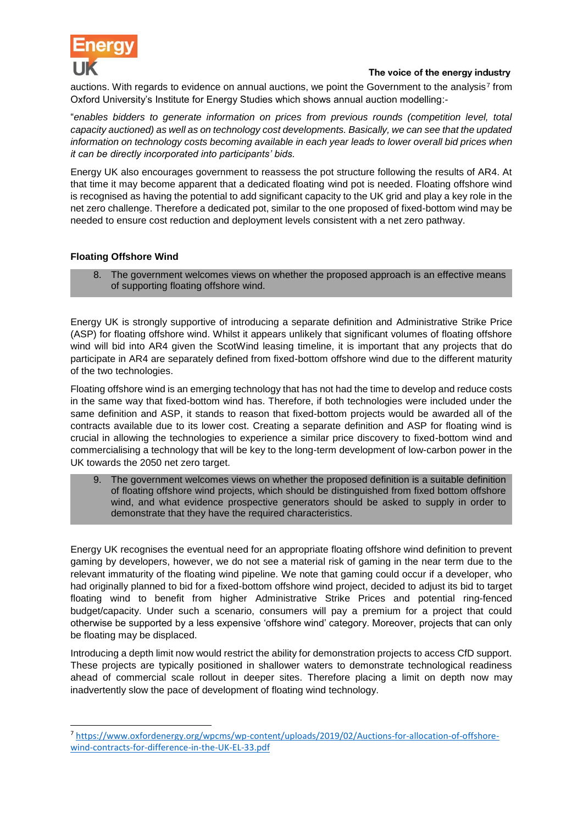

auctions. With regards to evidence on annual auctions, we point the Government to the analysis<sup>7</sup> from Oxford University's Institute for Energy Studies which shows annual auction modelling:-

"*enables bidders to generate information on prices from previous rounds (competition level, total capacity auctioned) as well as on technology cost developments. Basically, we can see that the updated information on technology costs becoming available in each year leads to lower overall bid prices when it can be directly incorporated into participants' bids.*

Energy UK also encourages government to reassess the pot structure following the results of AR4. At that time it may become apparent that a dedicated floating wind pot is needed. Floating offshore wind is recognised as having the potential to add significant capacity to the UK grid and play a key role in the net zero challenge. Therefore a dedicated pot, similar to the one proposed of fixed-bottom wind may be needed to ensure cost reduction and deployment levels consistent with a net zero pathway.

# **Floating Offshore Wind**

1

8. The government welcomes views on whether the proposed approach is an effective means of supporting floating offshore wind.

Energy UK is strongly supportive of introducing a separate definition and Administrative Strike Price (ASP) for floating offshore wind. Whilst it appears unlikely that significant volumes of floating offshore wind will bid into AR4 given the ScotWind leasing timeline, it is important that any projects that do participate in AR4 are separately defined from fixed-bottom offshore wind due to the different maturity of the two technologies.

Floating offshore wind is an emerging technology that has not had the time to develop and reduce costs in the same way that fixed-bottom wind has. Therefore, if both technologies were included under the same definition and ASP, it stands to reason that fixed-bottom projects would be awarded all of the contracts available due to its lower cost. Creating a separate definition and ASP for floating wind is crucial in allowing the technologies to experience a similar price discovery to fixed-bottom wind and commercialising a technology that will be key to the long-term development of low-carbon power in the UK towards the 2050 net zero target.

9. The government welcomes views on whether the proposed definition is a suitable definition of floating offshore wind projects, which should be distinguished from fixed bottom offshore wind, and what evidence prospective generators should be asked to supply in order to demonstrate that they have the required characteristics.

Energy UK recognises the eventual need for an appropriate floating offshore wind definition to prevent gaming by developers, however, we do not see a material risk of gaming in the near term due to the relevant immaturity of the floating wind pipeline. We note that gaming could occur if a developer, who had originally planned to bid for a fixed-bottom offshore wind project, decided to adjust its bid to target floating wind to benefit from higher Administrative Strike Prices and potential ring-fenced budget/capacity. Under such a scenario, consumers will pay a premium for a project that could otherwise be supported by a less expensive 'offshore wind' category. Moreover, projects that can only be floating may be displaced.

Introducing a depth limit now would restrict the ability for demonstration projects to access CfD support. These projects are typically positioned in shallower waters to demonstrate technological readiness ahead of commercial scale rollout in deeper sites. Therefore placing a limit on depth now may inadvertently slow the pace of development of floating wind technology.

<sup>7</sup> [https://www.oxfordenergy.org/wpcms/wp-content/uploads/2019/02/Auctions-for-allocation-of-offshore](https://www.oxfordenergy.org/wpcms/wp-content/uploads/2019/02/Auctions-for-allocation-of-offshore-wind-contracts-for-difference-in-the-UK-EL-33.pdf)[wind-contracts-for-difference-in-the-UK-EL-33.pdf](https://www.oxfordenergy.org/wpcms/wp-content/uploads/2019/02/Auctions-for-allocation-of-offshore-wind-contracts-for-difference-in-the-UK-EL-33.pdf)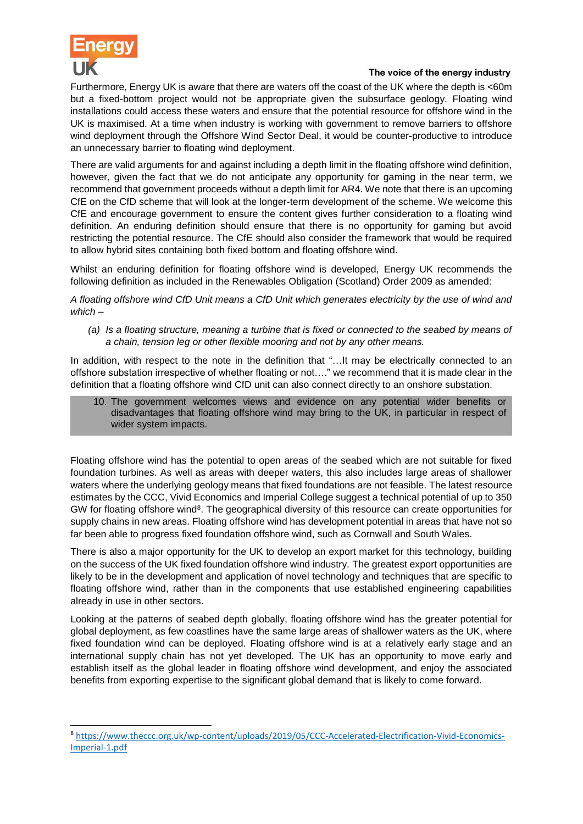

1

# The voice of the energy industry

Furthermore, Energy UK is aware that there are waters off the coast of the UK where the depth is <60m but a fixed-bottom project would not be appropriate given the subsurface geology. Floating wind installations could access these waters and ensure that the potential resource for offshore wind in the UK is maximised. At a time when industry is working with government to remove barriers to offshore wind deployment through the Offshore Wind Sector Deal, it would be counter-productive to introduce an unnecessary barrier to floating wind deployment.

There are valid arguments for and against including a depth limit in the floating offshore wind definition, however, given the fact that we do not anticipate any opportunity for gaming in the near term, we recommend that government proceeds without a depth limit for AR4. We note that there is an upcoming CfE on the CfD scheme that will look at the longer-term development of the scheme. We welcome this CfE and encourage government to ensure the content gives further consideration to a floating wind definition. An enduring definition should ensure that there is no opportunity for gaming but avoid restricting the potential resource. The CfE should also consider the framework that would be required to allow hybrid sites containing both fixed bottom and floating offshore wind.

Whilst an enduring definition for floating offshore wind is developed, Energy UK recommends the following definition as included in the Renewables Obligation (Scotland) Order 2009 as amended:

*A floating offshore wind CfD Unit means a CfD Unit which generates electricity by the use of wind and which –*

*(a) Is a floating structure, meaning a turbine that is fixed or connected to the seabed by means of a chain, tension leg or other flexible mooring and not by any other means.*

In addition, with respect to the note in the definition that "...It may be electrically connected to an offshore substation irrespective of whether floating or not…." we recommend that it is made clear in the definition that a floating offshore wind CfD unit can also connect directly to an onshore substation.

10. The government welcomes views and evidence on any potential wider benefits or disadvantages that floating offshore wind may bring to the UK, in particular in respect of wider system impacts.

Floating offshore wind has the potential to open areas of the seabed which are not suitable for fixed foundation turbines. As well as areas with deeper waters, this also includes large areas of shallower waters where the underlying geology means that fixed foundations are not feasible. The latest resource estimates by the CCC, Vivid Economics and Imperial College suggest a technical potential of up to 350 GW for floating offshore wind<sup>8</sup>. The geographical diversity of this resource can create opportunities for supply chains in new areas. Floating offshore wind has development potential in areas that have not so far been able to progress fixed foundation offshore wind, such as Cornwall and South Wales.

There is also a major opportunity for the UK to develop an export market for this technology, building on the success of the UK fixed foundation offshore wind industry. The greatest export opportunities are likely to be in the development and application of novel technology and techniques that are specific to floating offshore wind, rather than in the components that use established engineering capabilities already in use in other sectors.

Looking at the patterns of seabed depth globally, floating offshore wind has the greater potential for global deployment, as few coastlines have the same large areas of shallower waters as the UK, where fixed foundation wind can be deployed. Floating offshore wind is at a relatively early stage and an international supply chain has not yet developed. The UK has an opportunity to move early and establish itself as the global leader in floating offshore wind development, and enjoy the associated benefits from exporting expertise to the significant global demand that is likely to come forward.

<sup>8</sup> [https://www.theccc.org.uk/wp-content/uploads/2019/05/CCC-Accelerated-Electrification-Vivid-Economics-](https://www.theccc.org.uk/wp-content/uploads/2019/05/CCC-Accelerated-Electrification-Vivid-Economics-Imperial-1.pdf)[Imperial-1.pdf](https://www.theccc.org.uk/wp-content/uploads/2019/05/CCC-Accelerated-Electrification-Vivid-Economics-Imperial-1.pdf)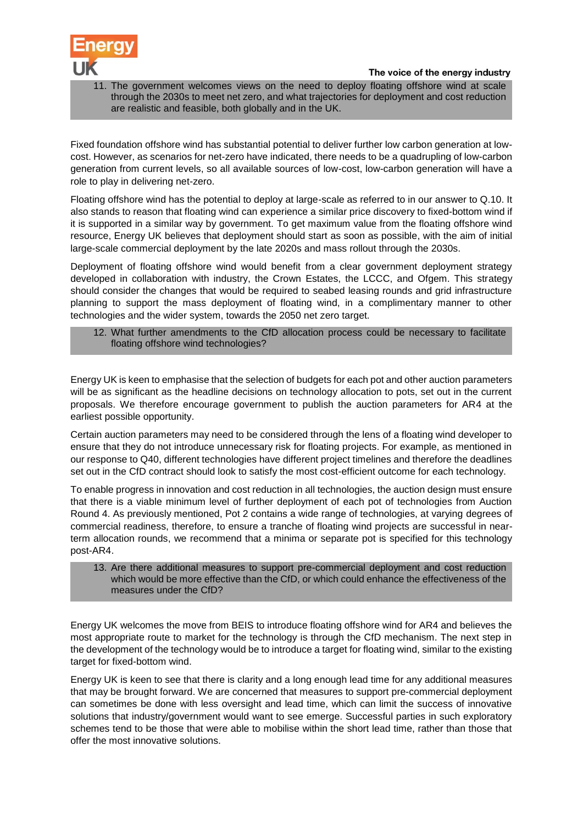



11. The government welcomes views on the need to deploy floating offshore wind at scale through the 2030s to meet net zero, and what trajectories for deployment and cost reduction are realistic and feasible, both globally and in the UK.

Fixed foundation offshore wind has substantial potential to deliver further low carbon generation at lowcost. However, as scenarios for net-zero have indicated, there needs to be a quadrupling of low-carbon generation from current levels, so all available sources of low-cost, low-carbon generation will have a role to play in delivering net-zero.

Floating offshore wind has the potential to deploy at large-scale as referred to in our answer to Q.10. It also stands to reason that floating wind can experience a similar price discovery to fixed-bottom wind if it is supported in a similar way by government. To get maximum value from the floating offshore wind resource, Energy UK believes that deployment should start as soon as possible, with the aim of initial large-scale commercial deployment by the late 2020s and mass rollout through the 2030s.

Deployment of floating offshore wind would benefit from a clear government deployment strategy developed in collaboration with industry, the Crown Estates, the LCCC, and Ofgem. This strategy should consider the changes that would be required to seabed leasing rounds and grid infrastructure planning to support the mass deployment of floating wind, in a complimentary manner to other technologies and the wider system, towards the 2050 net zero target.

12. What further amendments to the CfD allocation process could be necessary to facilitate floating offshore wind technologies?

Energy UK is keen to emphasise that the selection of budgets for each pot and other auction parameters will be as significant as the headline decisions on technology allocation to pots, set out in the current proposals. We therefore encourage government to publish the auction parameters for AR4 at the earliest possible opportunity.

Certain auction parameters may need to be considered through the lens of a floating wind developer to ensure that they do not introduce unnecessary risk for floating projects. For example, as mentioned in our response to Q40, different technologies have different project timelines and therefore the deadlines set out in the CfD contract should look to satisfy the most cost-efficient outcome for each technology.

To enable progress in innovation and cost reduction in all technologies, the auction design must ensure that there is a viable minimum level of further deployment of each pot of technologies from Auction Round 4. As previously mentioned, Pot 2 contains a wide range of technologies, at varying degrees of commercial readiness, therefore, to ensure a tranche of floating wind projects are successful in nearterm allocation rounds, we recommend that a minima or separate pot is specified for this technology post-AR4.

13. Are there additional measures to support pre-commercial deployment and cost reduction which would be more effective than the CfD, or which could enhance the effectiveness of the measures under the CfD?

Energy UK welcomes the move from BEIS to introduce floating offshore wind for AR4 and believes the most appropriate route to market for the technology is through the CfD mechanism. The next step in the development of the technology would be to introduce a target for floating wind, similar to the existing target for fixed-bottom wind.

Energy UK is keen to see that there is clarity and a long enough lead time for any additional measures that may be brought forward. We are concerned that measures to support pre-commercial deployment can sometimes be done with less oversight and lead time, which can limit the success of innovative solutions that industry/government would want to see emerge. Successful parties in such exploratory schemes tend to be those that were able to mobilise within the short lead time, rather than those that offer the most innovative solutions.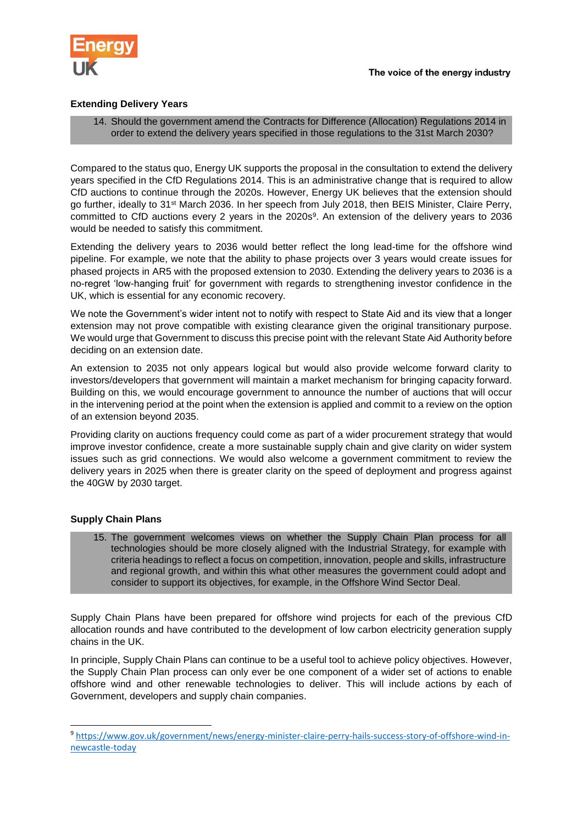

# **Extending Delivery Years**

#### 14. Should the government amend the Contracts for Difference (Allocation) Regulations 2014 in order to extend the delivery years specified in those regulations to the 31st March 2030?

Compared to the status quo, Energy UK supports the proposal in the consultation to extend the delivery years specified in the CfD Regulations 2014. This is an administrative change that is required to allow CfD auctions to continue through the 2020s. However, Energy UK believes that the extension should go further, ideally to 31st March 2036. In her speech from July 2018, then BEIS Minister, Claire Perry, committed to CfD auctions every 2 years in the 2020s<sup>9</sup>. An extension of the delivery years to 2036 would be needed to satisfy this commitment.

Extending the delivery years to 2036 would better reflect the long lead-time for the offshore wind pipeline. For example, we note that the ability to phase projects over 3 years would create issues for phased projects in AR5 with the proposed extension to 2030. Extending the delivery years to 2036 is a no-regret 'low-hanging fruit' for government with regards to strengthening investor confidence in the UK, which is essential for any economic recovery.

We note the Government's wider intent not to notify with respect to State Aid and its view that a longer extension may not prove compatible with existing clearance given the original transitionary purpose. We would urge that Government to discuss this precise point with the relevant State Aid Authority before deciding on an extension date.

An extension to 2035 not only appears logical but would also provide welcome forward clarity to investors/developers that government will maintain a market mechanism for bringing capacity forward. Building on this, we would encourage government to announce the number of auctions that will occur in the intervening period at the point when the extension is applied and commit to a review on the option of an extension beyond 2035.

Providing clarity on auctions frequency could come as part of a wider procurement strategy that would improve investor confidence, create a more sustainable supply chain and give clarity on wider system issues such as grid connections. We would also welcome a government commitment to review the delivery years in 2025 when there is greater clarity on the speed of deployment and progress against the 40GW by 2030 target.

# **Supply Chain Plans**

1

15. The government welcomes views on whether the Supply Chain Plan process for all technologies should be more closely aligned with the Industrial Strategy, for example with criteria headings to reflect a focus on competition, innovation, people and skills, infrastructure and regional growth, and within this what other measures the government could adopt and consider to support its objectives, for example, in the Offshore Wind Sector Deal.

Supply Chain Plans have been prepared for offshore wind projects for each of the previous CfD allocation rounds and have contributed to the development of low carbon electricity generation supply chains in the UK.

In principle, Supply Chain Plans can continue to be a useful tool to achieve policy objectives. However, the Supply Chain Plan process can only ever be one component of a wider set of actions to enable offshore wind and other renewable technologies to deliver. This will include actions by each of Government, developers and supply chain companies.

<sup>9</sup> [https://www.gov.uk/government/news/energy-minister-claire-perry-hails-success-story-of-offshore-wind-in](https://www.gov.uk/government/news/energy-minister-claire-perry-hails-success-story-of-offshore-wind-in-newcastle-today)[newcastle-today](https://www.gov.uk/government/news/energy-minister-claire-perry-hails-success-story-of-offshore-wind-in-newcastle-today)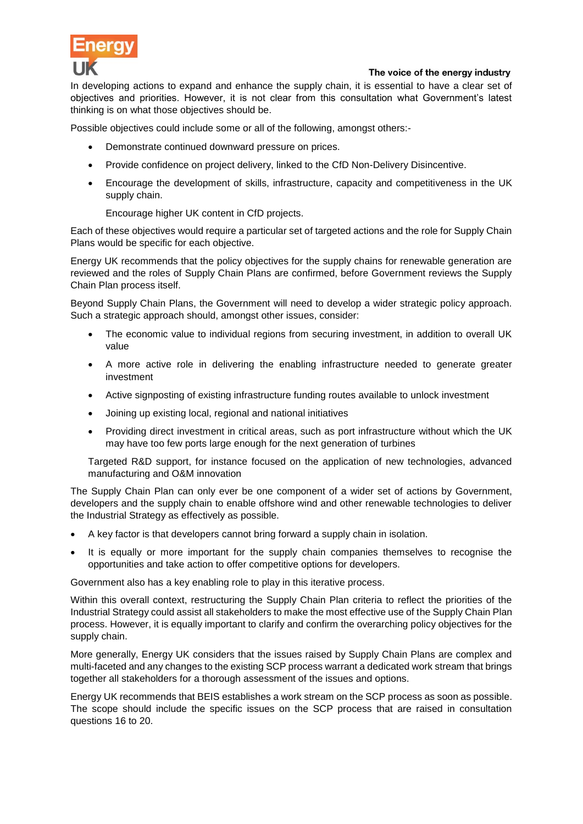

In developing actions to expand and enhance the supply chain, it is essential to have a clear set of objectives and priorities. However, it is not clear from this consultation what Government's latest thinking is on what those objectives should be.

Possible objectives could include some or all of the following, amongst others:-

- Demonstrate continued downward pressure on prices.
- Provide confidence on project delivery, linked to the CfD Non-Delivery Disincentive.
- Encourage the development of skills, infrastructure, capacity and competitiveness in the UK supply chain.

Encourage higher UK content in CfD projects.

Each of these objectives would require a particular set of targeted actions and the role for Supply Chain Plans would be specific for each objective.

Energy UK recommends that the policy objectives for the supply chains for renewable generation are reviewed and the roles of Supply Chain Plans are confirmed, before Government reviews the Supply Chain Plan process itself.

Beyond Supply Chain Plans, the Government will need to develop a wider strategic policy approach. Such a strategic approach should, amongst other issues, consider:

- The economic value to individual regions from securing investment, in addition to overall UK value
- A more active role in delivering the enabling infrastructure needed to generate greater investment
- Active signposting of existing infrastructure funding routes available to unlock investment
- Joining up existing local, regional and national initiatives
- Providing direct investment in critical areas, such as port infrastructure without which the UK may have too few ports large enough for the next generation of turbines

Targeted R&D support, for instance focused on the application of new technologies, advanced manufacturing and O&M innovation

The Supply Chain Plan can only ever be one component of a wider set of actions by Government, developers and the supply chain to enable offshore wind and other renewable technologies to deliver the Industrial Strategy as effectively as possible.

- A key factor is that developers cannot bring forward a supply chain in isolation.
- It is equally or more important for the supply chain companies themselves to recognise the opportunities and take action to offer competitive options for developers.

Government also has a key enabling role to play in this iterative process.

Within this overall context, restructuring the Supply Chain Plan criteria to reflect the priorities of the Industrial Strategy could assist all stakeholders to make the most effective use of the Supply Chain Plan process. However, it is equally important to clarify and confirm the overarching policy objectives for the supply chain.

More generally, Energy UK considers that the issues raised by Supply Chain Plans are complex and multi-faceted and any changes to the existing SCP process warrant a dedicated work stream that brings together all stakeholders for a thorough assessment of the issues and options.

Energy UK recommends that BEIS establishes a work stream on the SCP process as soon as possible. The scope should include the specific issues on the SCP process that are raised in consultation questions 16 to 20.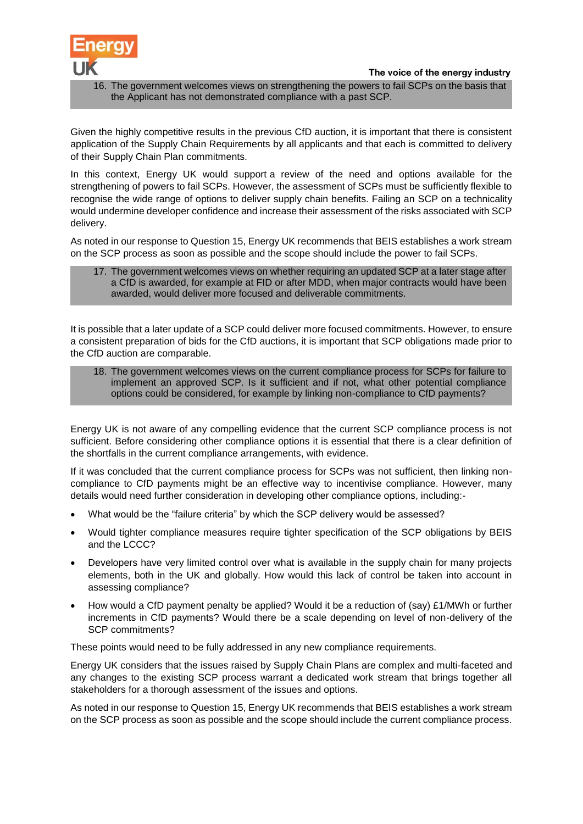



16. The government welcomes views on strengthening the powers to fail SCPs on the basis that the Applicant has not demonstrated compliance with a past SCP.

Given the highly competitive results in the previous CfD auction, it is important that there is consistent application of the Supply Chain Requirements by all applicants and that each is committed to delivery of their Supply Chain Plan commitments.

In this context, Energy UK would support a review of the need and options available for the strengthening of powers to fail SCPs. However, the assessment of SCPs must be sufficiently flexible to recognise the wide range of options to deliver supply chain benefits. Failing an SCP on a technicality would undermine developer confidence and increase their assessment of the risks associated with SCP delivery.

As noted in our response to Question 15, Energy UK recommends that BEIS establishes a work stream on the SCP process as soon as possible and the scope should include the power to fail SCPs.

#### 17. The government welcomes views on whether requiring an updated SCP at a later stage after a CfD is awarded, for example at FID or after MDD, when major contracts would have been awarded, would deliver more focused and deliverable commitments.

It is possible that a later update of a SCP could deliver more focused commitments. However, to ensure a consistent preparation of bids for the CfD auctions, it is important that SCP obligations made prior to the CfD auction are comparable.

18. The government welcomes views on the current compliance process for SCPs for failure to implement an approved SCP. Is it sufficient and if not, what other potential compliance options could be considered, for example by linking non-compliance to CfD payments?

Energy UK is not aware of any compelling evidence that the current SCP compliance process is not sufficient. Before considering other compliance options it is essential that there is a clear definition of the shortfalls in the current compliance arrangements, with evidence.

If it was concluded that the current compliance process for SCPs was not sufficient, then linking noncompliance to CfD payments might be an effective way to incentivise compliance. However, many details would need further consideration in developing other compliance options, including:-

- What would be the "failure criteria" by which the SCP delivery would be assessed?
- Would tighter compliance measures require tighter specification of the SCP obligations by BEIS and the LCCC?
- Developers have very limited control over what is available in the supply chain for many projects elements, both in the UK and globally. How would this lack of control be taken into account in assessing compliance?
- How would a CfD payment penalty be applied? Would it be a reduction of (say) £1/MWh or further increments in CfD payments? Would there be a scale depending on level of non-delivery of the SCP commitments?

These points would need to be fully addressed in any new compliance requirements.

Energy UK considers that the issues raised by Supply Chain Plans are complex and multi-faceted and any changes to the existing SCP process warrant a dedicated work stream that brings together all stakeholders for a thorough assessment of the issues and options.

As noted in our response to Question 15, Energy UK recommends that BEIS establishes a work stream on the SCP process as soon as possible and the scope should include the current compliance process.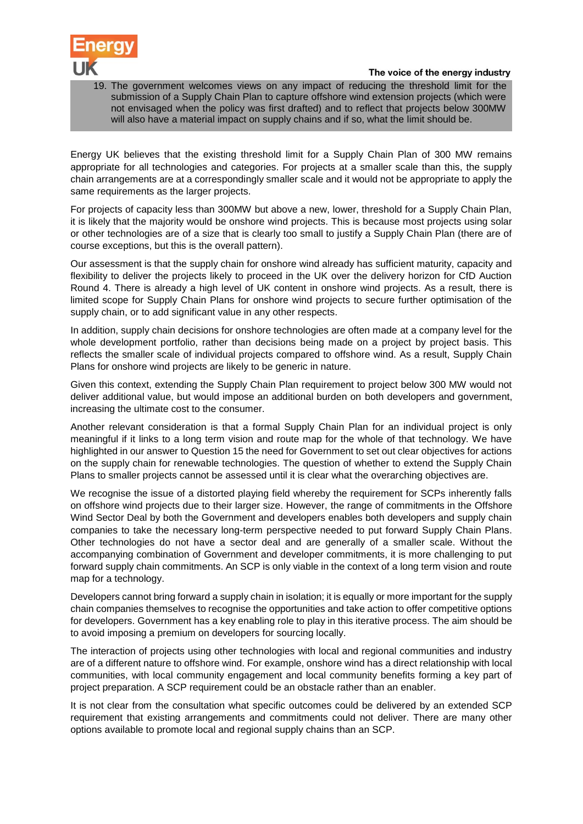

19. The government welcomes views on any impact of reducing the threshold limit for the submission of a Supply Chain Plan to capture offshore wind extension projects (which were not envisaged when the policy was first drafted) and to reflect that projects below 300MW will also have a material impact on supply chains and if so, what the limit should be.

Energy UK believes that the existing threshold limit for a Supply Chain Plan of 300 MW remains appropriate for all technologies and categories. For projects at a smaller scale than this, the supply chain arrangements are at a correspondingly smaller scale and it would not be appropriate to apply the same requirements as the larger projects.

For projects of capacity less than 300MW but above a new, lower, threshold for a Supply Chain Plan, it is likely that the majority would be onshore wind projects. This is because most projects using solar or other technologies are of a size that is clearly too small to justify a Supply Chain Plan (there are of course exceptions, but this is the overall pattern).

Our assessment is that the supply chain for onshore wind already has sufficient maturity, capacity and flexibility to deliver the projects likely to proceed in the UK over the delivery horizon for CfD Auction Round 4. There is already a high level of UK content in onshore wind projects. As a result, there is limited scope for Supply Chain Plans for onshore wind projects to secure further optimisation of the supply chain, or to add significant value in any other respects.

In addition, supply chain decisions for onshore technologies are often made at a company level for the whole development portfolio, rather than decisions being made on a project by project basis. This reflects the smaller scale of individual projects compared to offshore wind. As a result, Supply Chain Plans for onshore wind projects are likely to be generic in nature.

Given this context, extending the Supply Chain Plan requirement to project below 300 MW would not deliver additional value, but would impose an additional burden on both developers and government, increasing the ultimate cost to the consumer.

Another relevant consideration is that a formal Supply Chain Plan for an individual project is only meaningful if it links to a long term vision and route map for the whole of that technology. We have highlighted in our answer to Question 15 the need for Government to set out clear objectives for actions on the supply chain for renewable technologies. The question of whether to extend the Supply Chain Plans to smaller projects cannot be assessed until it is clear what the overarching objectives are.

We recognise the issue of a distorted playing field whereby the requirement for SCPs inherently falls on offshore wind projects due to their larger size. However, the range of commitments in the Offshore Wind Sector Deal by both the Government and developers enables both developers and supply chain companies to take the necessary long-term perspective needed to put forward Supply Chain Plans. Other technologies do not have a sector deal and are generally of a smaller scale. Without the accompanying combination of Government and developer commitments, it is more challenging to put forward supply chain commitments. An SCP is only viable in the context of a long term vision and route map for a technology.

Developers cannot bring forward a supply chain in isolation; it is equally or more important for the supply chain companies themselves to recognise the opportunities and take action to offer competitive options for developers. Government has a key enabling role to play in this iterative process. The aim should be to avoid imposing a premium on developers for sourcing locally.

The interaction of projects using other technologies with local and regional communities and industry are of a different nature to offshore wind. For example, onshore wind has a direct relationship with local communities, with local community engagement and local community benefits forming a key part of project preparation. A SCP requirement could be an obstacle rather than an enabler.

It is not clear from the consultation what specific outcomes could be delivered by an extended SCP requirement that existing arrangements and commitments could not deliver. There are many other options available to promote local and regional supply chains than an SCP.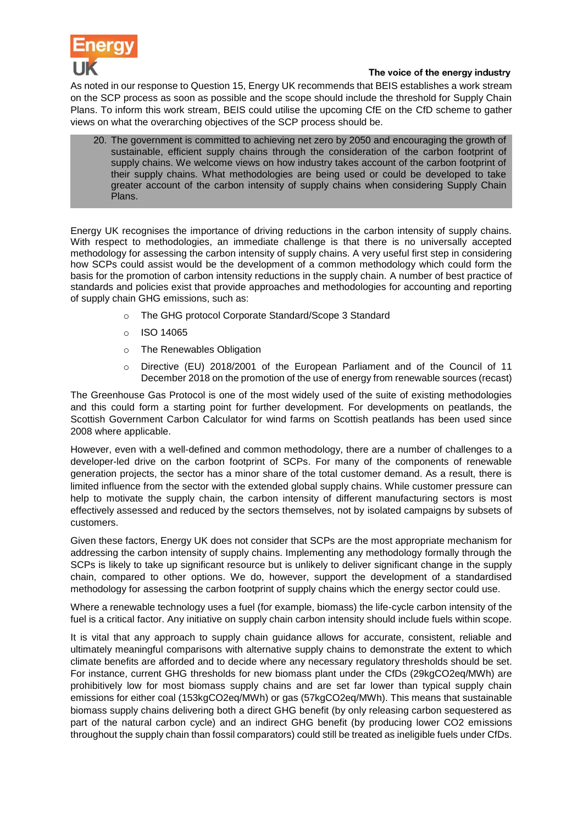

As noted in our response to Question 15, Energy UK recommends that BEIS establishes a work stream on the SCP process as soon as possible and the scope should include the threshold for Supply Chain Plans. To inform this work stream, BEIS could utilise the upcoming CfE on the CfD scheme to gather views on what the overarching objectives of the SCP process should be.

20. The government is committed to achieving net zero by 2050 and encouraging the growth of sustainable, efficient supply chains through the consideration of the carbon footprint of supply chains. We welcome views on how industry takes account of the carbon footprint of their supply chains. What methodologies are being used or could be developed to take greater account of the carbon intensity of supply chains when considering Supply Chain Plans.

Energy UK recognises the importance of driving reductions in the carbon intensity of supply chains. With respect to methodologies, an immediate challenge is that there is no universally accepted methodology for assessing the carbon intensity of supply chains. A very useful first step in considering how SCPs could assist would be the development of a common methodology which could form the basis for the promotion of carbon intensity reductions in the supply chain. A number of best practice of standards and policies exist that provide approaches and methodologies for accounting and reporting of supply chain GHG emissions, such as:

- o The GHG protocol Corporate Standard/Scope 3 Standard
- o ISO 14065
- o The Renewables Obligation
- Directive (EU) 2018/2001 of the European Parliament and of the Council of 11 December 2018 on the promotion of the use of energy from renewable sources (recast)

The Greenhouse Gas Protocol is one of the most widely used of the suite of existing methodologies and this could form a starting point for further development. For developments on peatlands, the Scottish Government Carbon Calculator for wind farms on Scottish peatlands has been used since 2008 where applicable.

However, even with a well-defined and common methodology, there are a number of challenges to a developer-led drive on the carbon footprint of SCPs. For many of the components of renewable generation projects, the sector has a minor share of the total customer demand. As a result, there is limited influence from the sector with the extended global supply chains. While customer pressure can help to motivate the supply chain, the carbon intensity of different manufacturing sectors is most effectively assessed and reduced by the sectors themselves, not by isolated campaigns by subsets of customers.

Given these factors, Energy UK does not consider that SCPs are the most appropriate mechanism for addressing the carbon intensity of supply chains. Implementing any methodology formally through the SCPs is likely to take up significant resource but is unlikely to deliver significant change in the supply chain, compared to other options. We do, however, support the development of a standardised methodology for assessing the carbon footprint of supply chains which the energy sector could use.

Where a renewable technology uses a fuel (for example, biomass) the life-cycle carbon intensity of the fuel is a critical factor. Any initiative on supply chain carbon intensity should include fuels within scope.

It is vital that any approach to supply chain guidance allows for accurate, consistent, reliable and ultimately meaningful comparisons with alternative supply chains to demonstrate the extent to which climate benefits are afforded and to decide where any necessary regulatory thresholds should be set. For instance, current GHG thresholds for new biomass plant under the CfDs (29kgCO2eq/MWh) are prohibitively low for most biomass supply chains and are set far lower than typical supply chain emissions for either coal (153kgCO2eq/MWh) or gas (57kgCO2eq/MWh). This means that sustainable biomass supply chains delivering both a direct GHG benefit (by only releasing carbon sequestered as part of the natural carbon cycle) and an indirect GHG benefit (by producing lower CO2 emissions throughout the supply chain than fossil comparators) could still be treated as ineligible fuels under CfDs.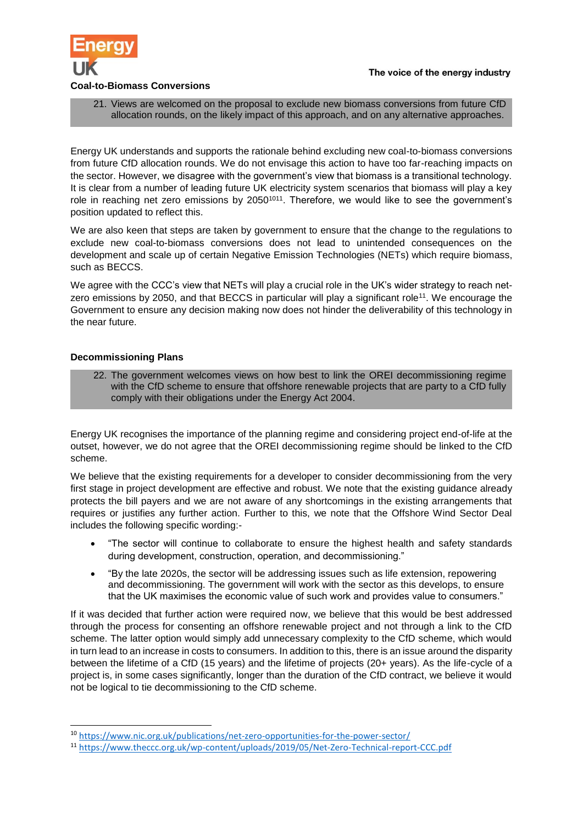

21. Views are welcomed on the proposal to exclude new biomass conversions from future CfD allocation rounds, on the likely impact of this approach, and on any alternative approaches.

Energy UK understands and supports the rationale behind excluding new coal-to-biomass conversions from future CfD allocation rounds. We do not envisage this action to have too far-reaching impacts on the sector. However, we disagree with the government's view that biomass is a transitional technology. It is clear from a number of leading future UK electricity system scenarios that biomass will play a key role in reaching net zero emissions by 2050<sup>1[011](#page-13-0)</sup>. Therefore, we would like to see the government's position updated to reflect this.

We are also keen that steps are taken by government to ensure that the change to the regulations to exclude new coal-to-biomass conversions does not lead to unintended consequences on the development and scale up of certain Negative Emission Technologies (NETs) which require biomass, such as BECCS.

We agree with the CCC's view that NETs will play a crucial role in the UK's wider strategy to reach netzero emissions by 2050, and that BECCS in particular will play a significant role<sup>11</sup>. We encourage the Government to ensure any decision making now does not hinder the deliverability of this technology in the near future.

# **Decommissioning Plans**

1

<span id="page-13-0"></span>22. The government welcomes views on how best to link the OREI decommissioning regime with the CfD scheme to ensure that offshore renewable projects that are party to a CfD fully comply with their obligations under the Energy Act 2004.

Energy UK recognises the importance of the planning regime and considering project end-of-life at the outset, however, we do not agree that the OREI decommissioning regime should be linked to the CfD scheme.

We believe that the existing requirements for a developer to consider decommissioning from the very first stage in project development are effective and robust. We note that the existing guidance already protects the bill payers and we are not aware of any shortcomings in the existing arrangements that requires or justifies any further action. Further to this, we note that the Offshore Wind Sector Deal includes the following specific wording:-

- "The sector will continue to collaborate to ensure the highest health and safety standards during development, construction, operation, and decommissioning."
- "By the late 2020s, the sector will be addressing issues such as life extension, repowering and decommissioning. The government will work with the sector as this develops, to ensure that the UK maximises the economic value of such work and provides value to consumers."

If it was decided that further action were required now, we believe that this would be best addressed through the process for consenting an offshore renewable project and not through a link to the CfD scheme. The latter option would simply add unnecessary complexity to the CfD scheme, which would in turn lead to an increase in costs to consumers. In addition to this, there is an issue around the disparity between the lifetime of a CfD (15 years) and the lifetime of projects (20+ years). As the life-cycle of a project is, in some cases significantly, longer than the duration of the CfD contract, we believe it would not be logical to tie decommissioning to the CfD scheme.

<sup>10</sup> <https://www.nic.org.uk/publications/net-zero-opportunities-for-the-power-sector/>

<sup>11</sup> <https://www.theccc.org.uk/wp-content/uploads/2019/05/Net-Zero-Technical-report-CCC.pdf>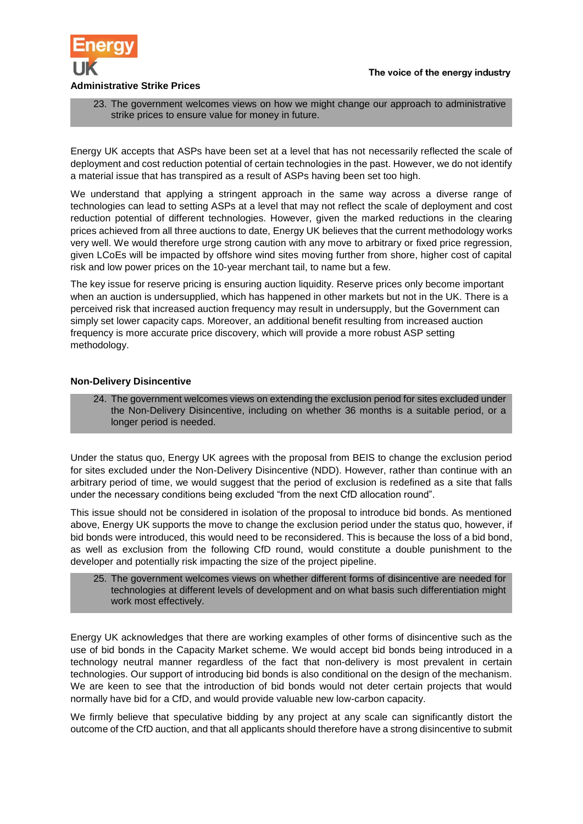

23. The government welcomes views on how we might change our approach to administrative strike prices to ensure value for money in future.

Energy UK accepts that ASPs have been set at a level that has not necessarily reflected the scale of deployment and cost reduction potential of certain technologies in the past. However, we do not identify a material issue that has transpired as a result of ASPs having been set too high.

We understand that applying a stringent approach in the same way across a diverse range of technologies can lead to setting ASPs at a level that may not reflect the scale of deployment and cost reduction potential of different technologies. However, given the marked reductions in the clearing prices achieved from all three auctions to date, Energy UK believes that the current methodology works very well. We would therefore urge strong caution with any move to arbitrary or fixed price regression, given LCoEs will be impacted by offshore wind sites moving further from shore, higher cost of capital risk and low power prices on the 10-year merchant tail, to name but a few.

The key issue for reserve pricing is ensuring auction liquidity. Reserve prices only become important when an auction is undersupplied, which has happened in other markets but not in the UK. There is a perceived risk that increased auction frequency may result in undersupply, but the Government can simply set lower capacity caps. Moreover, an additional benefit resulting from increased auction frequency is more accurate price discovery, which will provide a more robust ASP setting methodology.

### **Non-Delivery Disincentive**

24. The government welcomes views on extending the exclusion period for sites excluded under the Non-Delivery Disincentive, including on whether 36 months is a suitable period, or a longer period is needed.

Under the status quo, Energy UK agrees with the proposal from BEIS to change the exclusion period for sites excluded under the Non-Delivery Disincentive (NDD). However, rather than continue with an arbitrary period of time, we would suggest that the period of exclusion is redefined as a site that falls under the necessary conditions being excluded "from the next CfD allocation round".

This issue should not be considered in isolation of the proposal to introduce bid bonds. As mentioned above, Energy UK supports the move to change the exclusion period under the status quo, however, if bid bonds were introduced, this would need to be reconsidered. This is because the loss of a bid bond, as well as exclusion from the following CfD round, would constitute a double punishment to the developer and potentially risk impacting the size of the project pipeline.

25. The government welcomes views on whether different forms of disincentive are needed for technologies at different levels of development and on what basis such differentiation might work most effectively.

Energy UK acknowledges that there are working examples of other forms of disincentive such as the use of bid bonds in the Capacity Market scheme. We would accept bid bonds being introduced in a technology neutral manner regardless of the fact that non-delivery is most prevalent in certain technologies. Our support of introducing bid bonds is also conditional on the design of the mechanism. We are keen to see that the introduction of bid bonds would not deter certain projects that would normally have bid for a CfD, and would provide valuable new low-carbon capacity.

We firmly believe that speculative bidding by any project at any scale can significantly distort the outcome of the CfD auction, and that all applicants should therefore have a strong disincentive to submit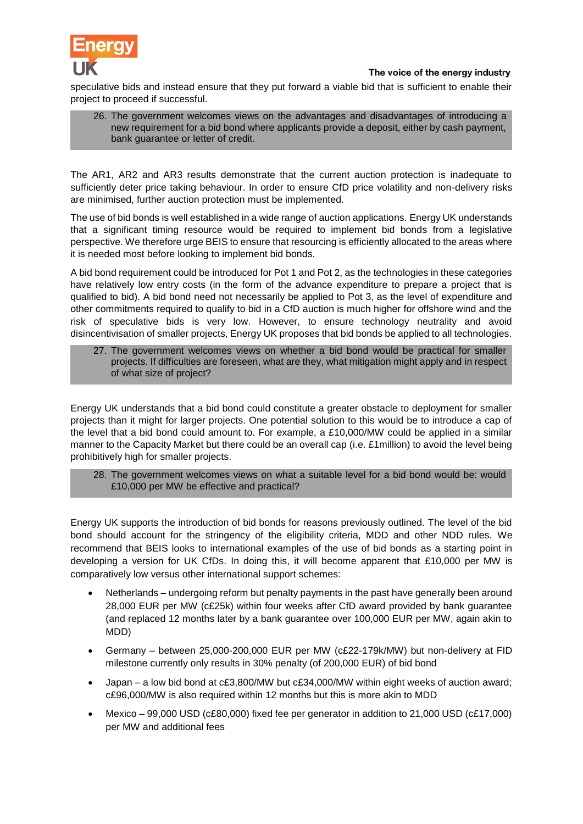

speculative bids and instead ensure that they put forward a viable bid that is sufficient to enable their project to proceed if successful.

26. The government welcomes views on the advantages and disadvantages of introducing a new requirement for a bid bond where applicants provide a deposit, either by cash payment, bank guarantee or letter of credit.

The AR1, AR2 and AR3 results demonstrate that the current auction protection is inadequate to sufficiently deter price taking behaviour. In order to ensure CfD price volatility and non-delivery risks are minimised, further auction protection must be implemented.

The use of bid bonds is well established in a wide range of auction applications. Energy UK understands that a significant timing resource would be required to implement bid bonds from a legislative perspective. We therefore urge BEIS to ensure that resourcing is efficiently allocated to the areas where it is needed most before looking to implement bid bonds.

A bid bond requirement could be introduced for Pot 1 and Pot 2, as the technologies in these categories have relatively low entry costs (in the form of the advance expenditure to prepare a project that is qualified to bid). A bid bond need not necessarily be applied to Pot 3, as the level of expenditure and other commitments required to qualify to bid in a CfD auction is much higher for offshore wind and the risk of speculative bids is very low. However, to ensure technology neutrality and avoid disincentivisation of smaller projects, Energy UK proposes that bid bonds be applied to all technologies.

27. The government welcomes views on whether a bid bond would be practical for smaller projects. If difficulties are foreseen, what are they, what mitigation might apply and in respect of what size of project?

Energy UK understands that a bid bond could constitute a greater obstacle to deployment for smaller projects than it might for larger projects. One potential solution to this would be to introduce a cap of the level that a bid bond could amount to. For example, a £10,000/MW could be applied in a similar manner to the Capacity Market but there could be an overall cap (i.e. £1million) to avoid the level being prohibitively high for smaller projects.

### 28. The government welcomes views on what a suitable level for a bid bond would be: would £10,000 per MW be effective and practical?

Energy UK supports the introduction of bid bonds for reasons previously outlined. The level of the bid bond should account for the stringency of the eligibility criteria, MDD and other NDD rules. We recommend that BEIS looks to international examples of the use of bid bonds as a starting point in developing a version for UK CfDs. In doing this, it will become apparent that £10,000 per MW is comparatively low versus other international support schemes:

- Netherlands undergoing reform but penalty payments in the past have generally been around 28,000 EUR per MW (c£25k) within four weeks after CfD award provided by bank guarantee (and replaced 12 months later by a bank guarantee over 100,000 EUR per MW, again akin to MDD)
- Germany between 25,000-200,000 EUR per MW (c£22-179k/MW) but non-delivery at FID milestone currently only results in 30% penalty (of 200,000 EUR) of bid bond
- Japan a low bid bond at c£3,800/MW but c£34,000/MW within eight weeks of auction award; c£96,000/MW is also required within 12 months but this is more akin to MDD
- Mexico 99,000 USD (c£80,000) fixed fee per generator in addition to 21,000 USD (c£17,000) per MW and additional fees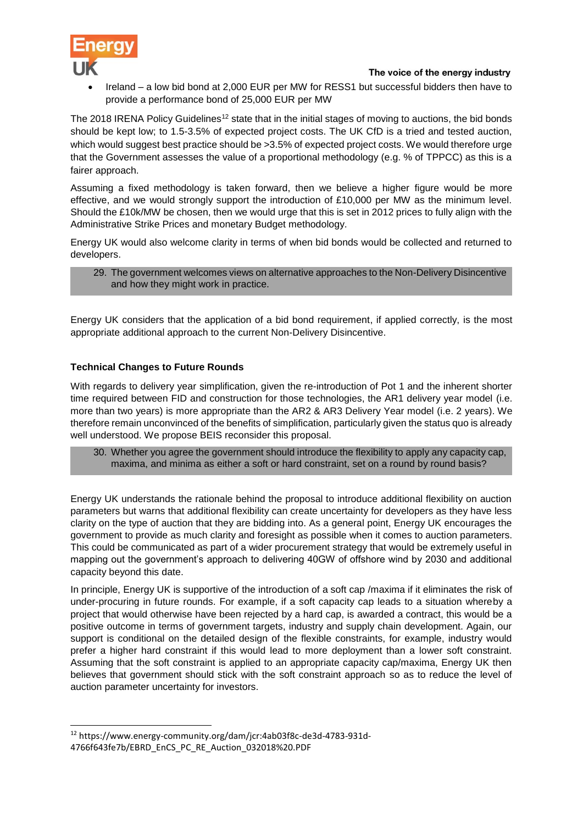

 Ireland – a low bid bond at 2,000 EUR per MW for RESS1 but successful bidders then have to provide a performance bond of 25,000 EUR per MW

The 2018 IRENA Policy Guidelines<sup>12</sup> state that in the initial stages of moving to auctions, the bid bonds should be kept low; to 1.5-3.5% of expected project costs. The UK CfD is a tried and tested auction, which would suggest best practice should be > 3.5% of expected project costs. We would therefore urge that the Government assesses the value of a proportional methodology (e.g. % of TPPCC) as this is a fairer approach.

Assuming a fixed methodology is taken forward, then we believe a higher figure would be more effective, and we would strongly support the introduction of £10,000 per MW as the minimum level. Should the £10k/MW be chosen, then we would urge that this is set in 2012 prices to fully align with the Administrative Strike Prices and monetary Budget methodology.

Energy UK would also welcome clarity in terms of when bid bonds would be collected and returned to developers.

29. The government welcomes views on alternative approaches to the Non-Delivery Disincentive and how they might work in practice.

Energy UK considers that the application of a bid bond requirement, if applied correctly, is the most appropriate additional approach to the current Non-Delivery Disincentive.

# **Technical Changes to Future Rounds**

With regards to delivery year simplification, given the re-introduction of Pot 1 and the inherent shorter time required between FID and construction for those technologies, the AR1 delivery year model (i.e. more than two years) is more appropriate than the AR2 & AR3 Delivery Year model (i.e. 2 years). We therefore remain unconvinced of the benefits of simplification, particularly given the status quo is already well understood. We propose BEIS reconsider this proposal.

30. Whether you agree the government should introduce the flexibility to apply any capacity cap, maxima, and minima as either a soft or hard constraint, set on a round by round basis?

Energy UK understands the rationale behind the proposal to introduce additional flexibility on auction parameters but warns that additional flexibility can create uncertainty for developers as they have less clarity on the type of auction that they are bidding into. As a general point, Energy UK encourages the government to provide as much clarity and foresight as possible when it comes to auction parameters. This could be communicated as part of a wider procurement strategy that would be extremely useful in mapping out the government's approach to delivering 40GW of offshore wind by 2030 and additional capacity beyond this date.

In principle, Energy UK is supportive of the introduction of a soft cap /maxima if it eliminates the risk of under-procuring in future rounds. For example, if a soft capacity cap leads to a situation whereby a project that would otherwise have been rejected by a hard cap, is awarded a contract, this would be a positive outcome in terms of government targets, industry and supply chain development. Again, our support is conditional on the detailed design of the flexible constraints, for example, industry would prefer a higher hard constraint if this would lead to more deployment than a lower soft constraint. Assuming that the soft constraint is applied to an appropriate capacity cap/maxima, Energy UK then believes that government should stick with the soft constraint approach so as to reduce the level of auction parameter uncertainty for investors.

1

<sup>12</sup> https://www.energy-community.org/dam/jcr:4ab03f8c-de3d-4783-931d-4766f643fe7b/EBRD\_EnCS\_PC\_RE\_Auction\_032018%20.PDF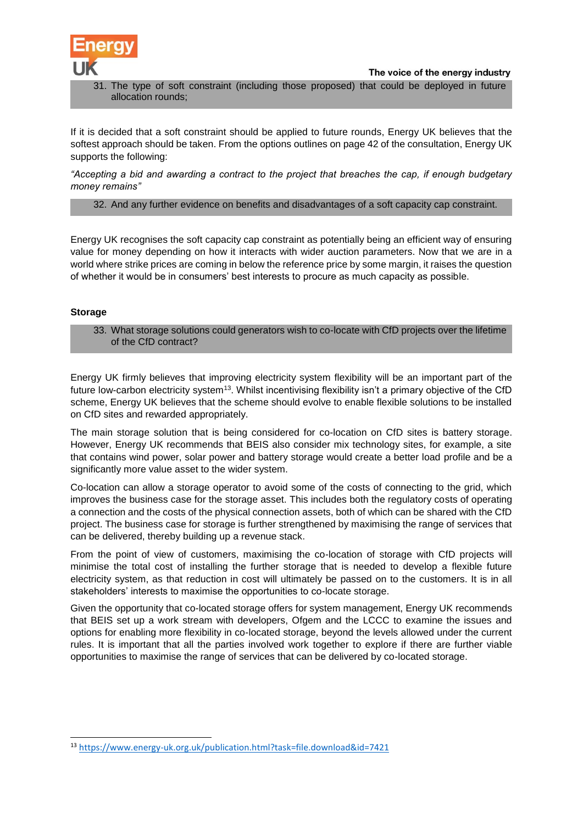

31. The type of soft constraint (including those proposed) that could be deployed in future allocation rounds;

If it is decided that a soft constraint should be applied to future rounds, Energy UK believes that the softest approach should be taken. From the options outlines on page 42 of the consultation, Energy UK supports the following:

*"Accepting a bid and awarding a contract to the project that breaches the cap, if enough budgetary money remains"*

32. And any further evidence on benefits and disadvantages of a soft capacity cap constraint.

Energy UK recognises the soft capacity cap constraint as potentially being an efficient way of ensuring value for money depending on how it interacts with wider auction parameters. Now that we are in a world where strike prices are coming in below the reference price by some margin, it raises the question of whether it would be in consumers' best interests to procure as much capacity as possible.

### **Storage**

1

33. What storage solutions could generators wish to co-locate with CfD projects over the lifetime of the CfD contract?

Energy UK firmly believes that improving electricity system flexibility will be an important part of the future low-carbon electricity system<sup>13</sup>. Whilst incentivising flexibility isn't a primary objective of the CfD scheme, Energy UK believes that the scheme should evolve to enable flexible solutions to be installed on CfD sites and rewarded appropriately.

The main storage solution that is being considered for co-location on CfD sites is battery storage. However, Energy UK recommends that BEIS also consider mix technology sites, for example, a site that contains wind power, solar power and battery storage would create a better load profile and be a significantly more value asset to the wider system.

Co-location can allow a storage operator to avoid some of the costs of connecting to the grid, which improves the business case for the storage asset. This includes both the regulatory costs of operating a connection and the costs of the physical connection assets, both of which can be shared with the CfD project. The business case for storage is further strengthened by maximising the range of services that can be delivered, thereby building up a revenue stack.

From the point of view of customers, maximising the co-location of storage with CfD projects will minimise the total cost of installing the further storage that is needed to develop a flexible future electricity system, as that reduction in cost will ultimately be passed on to the customers. It is in all stakeholders' interests to maximise the opportunities to co-locate storage.

Given the opportunity that co-located storage offers for system management, Energy UK recommends that BEIS set up a work stream with developers, Ofgem and the LCCC to examine the issues and options for enabling more flexibility in co-located storage, beyond the levels allowed under the current rules. It is important that all the parties involved work together to explore if there are further viable opportunities to maximise the range of services that can be delivered by co-located storage.

<sup>13</sup> <https://www.energy-uk.org.uk/publication.html?task=file.download&id=7421>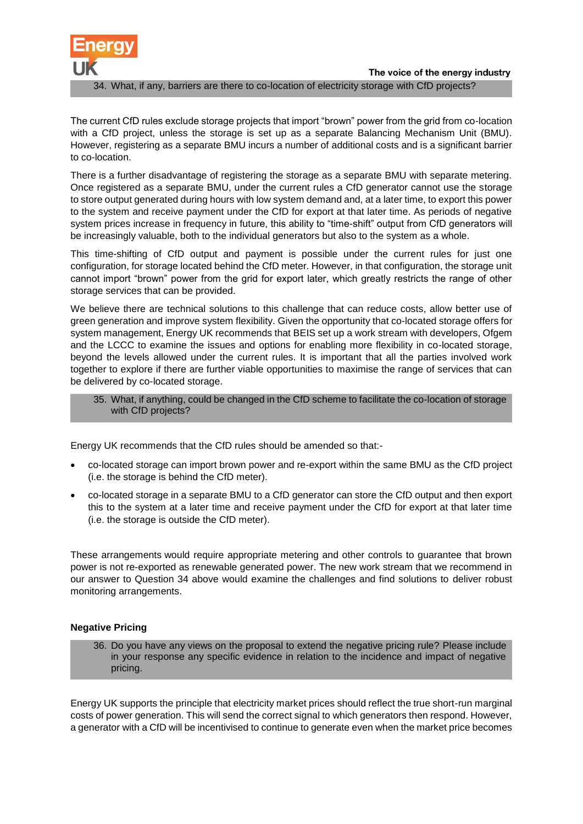

The current CfD rules exclude storage projects that import "brown" power from the grid from co-location with a CfD project, unless the storage is set up as a separate Balancing Mechanism Unit (BMU). However, registering as a separate BMU incurs a number of additional costs and is a significant barrier to co-location.

There is a further disadvantage of registering the storage as a separate BMU with separate metering. Once registered as a separate BMU, under the current rules a CfD generator cannot use the storage to store output generated during hours with low system demand and, at a later time, to export this power to the system and receive payment under the CfD for export at that later time. As periods of negative system prices increase in frequency in future, this ability to "time-shift" output from CfD generators will be increasingly valuable, both to the individual generators but also to the system as a whole.

This time-shifting of CfD output and payment is possible under the current rules for just one configuration, for storage located behind the CfD meter. However, in that configuration, the storage unit cannot import "brown" power from the grid for export later, which greatly restricts the range of other storage services that can be provided.

We believe there are technical solutions to this challenge that can reduce costs, allow better use of green generation and improve system flexibility. Given the opportunity that co-located storage offers for system management, Energy UK recommends that BEIS set up a work stream with developers, Ofgem and the LCCC to examine the issues and options for enabling more flexibility in co-located storage, beyond the levels allowed under the current rules. It is important that all the parties involved work together to explore if there are further viable opportunities to maximise the range of services that can be delivered by co-located storage.

35. What, if anything, could be changed in the CfD scheme to facilitate the co-location of storage with CfD projects?

Energy UK recommends that the CfD rules should be amended so that:-

- co-located storage can import brown power and re-export within the same BMU as the CfD project (i.e. the storage is behind the CfD meter).
- co-located storage in a separate BMU to a CfD generator can store the CfD output and then export this to the system at a later time and receive payment under the CfD for export at that later time (i.e. the storage is outside the CfD meter).

These arrangements would require appropriate metering and other controls to guarantee that brown power is not re-exported as renewable generated power. The new work stream that we recommend in our answer to Question 34 above would examine the challenges and find solutions to deliver robust monitoring arrangements.

# **Negative Pricing**

36. Do you have any views on the proposal to extend the negative pricing rule? Please include in your response any specific evidence in relation to the incidence and impact of negative pricing.

Energy UK supports the principle that electricity market prices should reflect the true short-run marginal costs of power generation. This will send the correct signal to which generators then respond. However, a generator with a CfD will be incentivised to continue to generate even when the market price becomes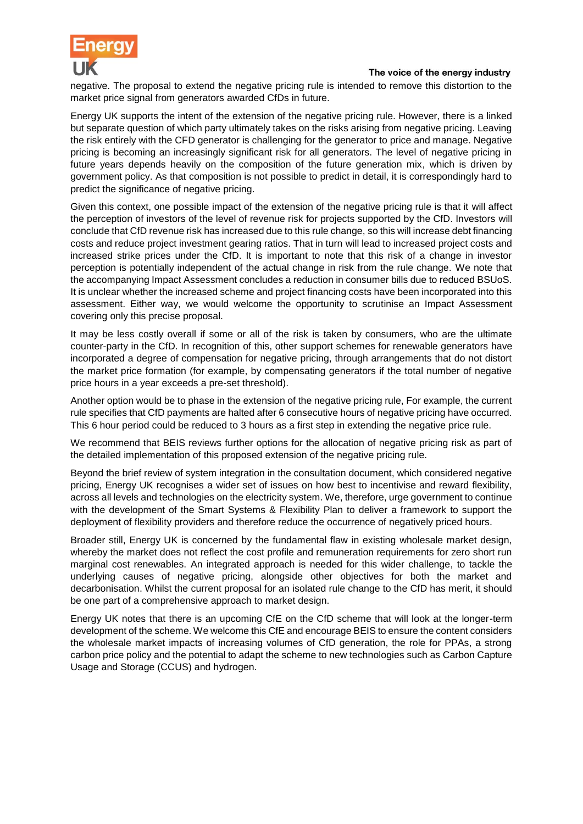

negative. The proposal to extend the negative pricing rule is intended to remove this distortion to the market price signal from generators awarded CfDs in future.

Energy UK supports the intent of the extension of the negative pricing rule. However, there is a linked but separate question of which party ultimately takes on the risks arising from negative pricing. Leaving the risk entirely with the CFD generator is challenging for the generator to price and manage. Negative pricing is becoming an increasingly significant risk for all generators. The level of negative pricing in future years depends heavily on the composition of the future generation mix, which is driven by government policy. As that composition is not possible to predict in detail, it is correspondingly hard to predict the significance of negative pricing.

Given this context, one possible impact of the extension of the negative pricing rule is that it will affect the perception of investors of the level of revenue risk for projects supported by the CfD. Investors will conclude that CfD revenue risk has increased due to this rule change, so this will increase debt financing costs and reduce project investment gearing ratios. That in turn will lead to increased project costs and increased strike prices under the CfD. It is important to note that this risk of a change in investor perception is potentially independent of the actual change in risk from the rule change. We note that the accompanying Impact Assessment concludes a reduction in consumer bills due to reduced BSUoS. It is unclear whether the increased scheme and project financing costs have been incorporated into this assessment. Either way, we would welcome the opportunity to scrutinise an Impact Assessment covering only this precise proposal.

It may be less costly overall if some or all of the risk is taken by consumers, who are the ultimate counter-party in the CfD. In recognition of this, other support schemes for renewable generators have incorporated a degree of compensation for negative pricing, through arrangements that do not distort the market price formation (for example, by compensating generators if the total number of negative price hours in a year exceeds a pre-set threshold).

Another option would be to phase in the extension of the negative pricing rule, For example, the current rule specifies that CfD payments are halted after 6 consecutive hours of negative pricing have occurred. This 6 hour period could be reduced to 3 hours as a first step in extending the negative price rule.

We recommend that BEIS reviews further options for the allocation of negative pricing risk as part of the detailed implementation of this proposed extension of the negative pricing rule.

Beyond the brief review of system integration in the consultation document, which considered negative pricing, Energy UK recognises a wider set of issues on how best to incentivise and reward flexibility, across all levels and technologies on the electricity system. We, therefore, urge government to continue with the development of the Smart Systems & Flexibility Plan to deliver a framework to support the deployment of flexibility providers and therefore reduce the occurrence of negatively priced hours.

Broader still, Energy UK is concerned by the fundamental flaw in existing wholesale market design, whereby the market does not reflect the cost profile and remuneration requirements for zero short run marginal cost renewables. An integrated approach is needed for this wider challenge, to tackle the underlying causes of negative pricing, alongside other objectives for both the market and decarbonisation. Whilst the current proposal for an isolated rule change to the CfD has merit, it should be one part of a comprehensive approach to market design.

Energy UK notes that there is an upcoming CfE on the CfD scheme that will look at the longer-term development of the scheme. We welcome this CfE and encourage BEIS to ensure the content considers the wholesale market impacts of increasing volumes of CfD generation, the role for PPAs, a strong carbon price policy and the potential to adapt the scheme to new technologies such as Carbon Capture Usage and Storage (CCUS) and hydrogen.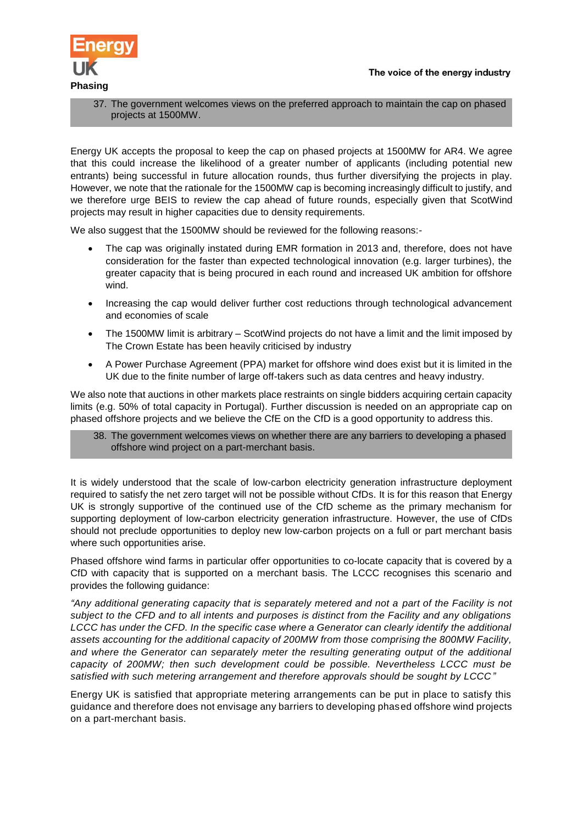

37. The government welcomes views on the preferred approach to maintain the cap on phased projects at 1500MW.

Energy UK accepts the proposal to keep the cap on phased projects at 1500MW for AR4. We agree that this could increase the likelihood of a greater number of applicants (including potential new entrants) being successful in future allocation rounds, thus further diversifying the projects in play. However, we note that the rationale for the 1500MW cap is becoming increasingly difficult to justify, and we therefore urge BEIS to review the cap ahead of future rounds, especially given that ScotWind projects may result in higher capacities due to density requirements.

We also suggest that the 1500MW should be reviewed for the following reasons:-

- The cap was originally instated during EMR formation in 2013 and, therefore, does not have consideration for the faster than expected technological innovation (e.g. larger turbines), the greater capacity that is being procured in each round and increased UK ambition for offshore wind.
- Increasing the cap would deliver further cost reductions through technological advancement and economies of scale
- The 1500MW limit is arbitrary ScotWind projects do not have a limit and the limit imposed by The Crown Estate has been heavily criticised by industry
- A Power Purchase Agreement (PPA) market for offshore wind does exist but it is limited in the UK due to the finite number of large off-takers such as data centres and heavy industry.

We also note that auctions in other markets place restraints on single bidders acquiring certain capacity limits (e.g. 50% of total capacity in Portugal). Further discussion is needed on an appropriate cap on phased offshore projects and we believe the CfE on the CfD is a good opportunity to address this.

38. The government welcomes views on whether there are any barriers to developing a phased offshore wind project on a part-merchant basis.

It is widely understood that the scale of low-carbon electricity generation infrastructure deployment required to satisfy the net zero target will not be possible without CfDs. It is for this reason that Energy UK is strongly supportive of the continued use of the CfD scheme as the primary mechanism for supporting deployment of low-carbon electricity generation infrastructure. However, the use of CfDs should not preclude opportunities to deploy new low-carbon projects on a full or part merchant basis where such opportunities arise.

Phased offshore wind farms in particular offer opportunities to co-locate capacity that is covered by a CfD with capacity that is supported on a merchant basis. The LCCC recognises this scenario and provides the following guidance:

*"Any additional generating capacity that is separately metered and not a part of the Facility is not subject to the CFD and to all intents and purposes is distinct from the Facility and any obligations*  LCCC has under the CFD. In the specific case where a Generator can clearly identify the additional *assets accounting for the additional capacity of 200MW from those comprising the 800MW Facility, and where the Generator can separately meter the resulting generating output of the additional capacity of 200MW; then such development could be possible. Nevertheless LCCC must be satisfied with such metering arrangement and therefore approvals should be sought by LCCC"*

Energy UK is satisfied that appropriate metering arrangements can be put in place to satisfy this guidance and therefore does not envisage any barriers to developing phased offshore wind projects on a part-merchant basis.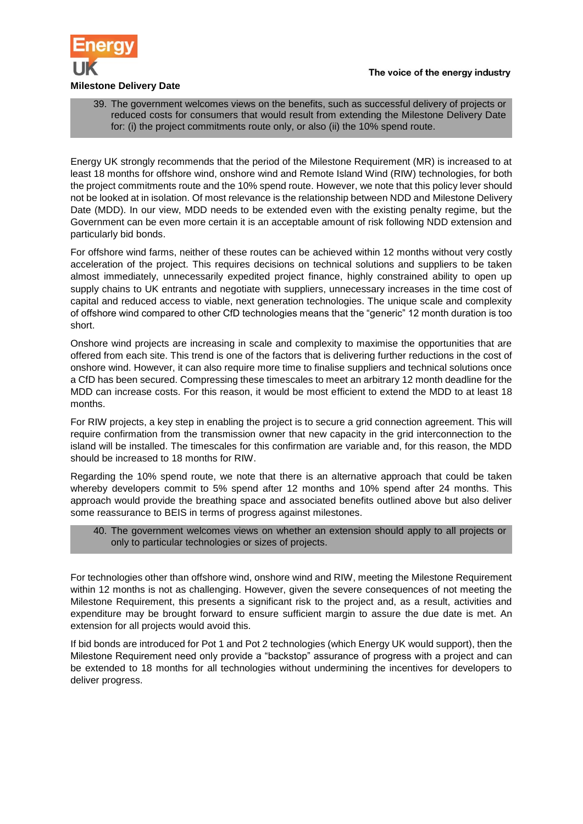

# **Milestone Delivery Date**

39. The government welcomes views on the benefits, such as successful delivery of projects or reduced costs for consumers that would result from extending the Milestone Delivery Date for: (i) the project commitments route only, or also (ii) the 10% spend route.

Energy UK strongly recommends that the period of the Milestone Requirement (MR) is increased to at least 18 months for offshore wind, onshore wind and Remote Island Wind (RIW) technologies, for both the project commitments route and the 10% spend route. However, we note that this policy lever should not be looked at in isolation. Of most relevance is the relationship between NDD and Milestone Delivery Date (MDD). In our view, MDD needs to be extended even with the existing penalty regime, but the Government can be even more certain it is an acceptable amount of risk following NDD extension and particularly bid bonds.

For offshore wind farms, neither of these routes can be achieved within 12 months without very costly acceleration of the project. This requires decisions on technical solutions and suppliers to be taken almost immediately, unnecessarily expedited project finance, highly constrained ability to open up supply chains to UK entrants and negotiate with suppliers, unnecessary increases in the time cost of capital and reduced access to viable, next generation technologies. The unique scale and complexity of offshore wind compared to other CfD technologies means that the "generic" 12 month duration is too short.

Onshore wind projects are increasing in scale and complexity to maximise the opportunities that are offered from each site. This trend is one of the factors that is delivering further reductions in the cost of onshore wind. However, it can also require more time to finalise suppliers and technical solutions once a CfD has been secured. Compressing these timescales to meet an arbitrary 12 month deadline for the MDD can increase costs. For this reason, it would be most efficient to extend the MDD to at least 18 months.

For RIW projects, a key step in enabling the project is to secure a grid connection agreement. This will require confirmation from the transmission owner that new capacity in the grid interconnection to the island will be installed. The timescales for this confirmation are variable and, for this reason, the MDD should be increased to 18 months for RIW.

Regarding the 10% spend route, we note that there is an alternative approach that could be taken whereby developers commit to 5% spend after 12 months and 10% spend after 24 months. This approach would provide the breathing space and associated benefits outlined above but also deliver some reassurance to BEIS in terms of progress against milestones.

# 40. The government welcomes views on whether an extension should apply to all projects or only to particular technologies or sizes of projects.

For technologies other than offshore wind, onshore wind and RIW, meeting the Milestone Requirement within 12 months is not as challenging. However, given the severe consequences of not meeting the Milestone Requirement, this presents a significant risk to the project and, as a result, activities and expenditure may be brought forward to ensure sufficient margin to assure the due date is met. An extension for all projects would avoid this.

If bid bonds are introduced for Pot 1 and Pot 2 technologies (which Energy UK would support), then the Milestone Requirement need only provide a "backstop" assurance of progress with a project and can be extended to 18 months for all technologies without undermining the incentives for developers to deliver progress.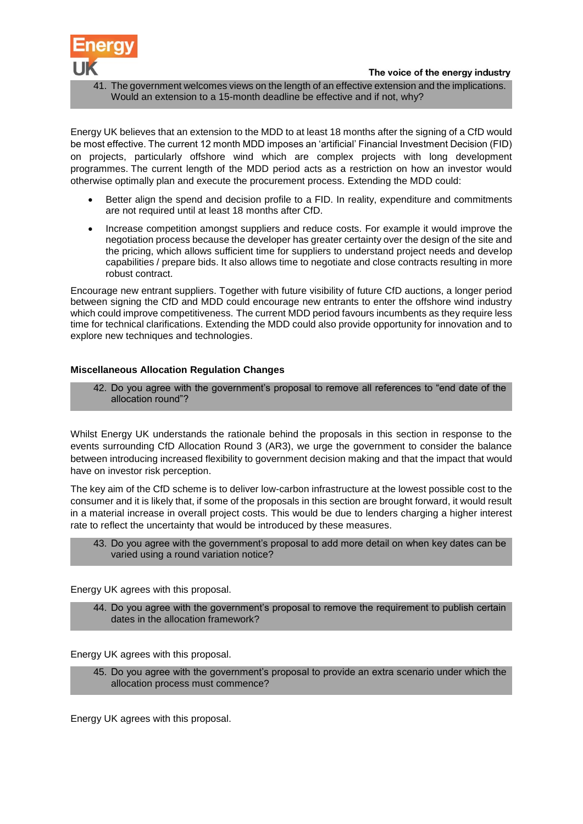

41. The government welcomes views on the length of an effective extension and the implications. Would an extension to a 15-month deadline be effective and if not, why?

Energy UK believes that an extension to the MDD to at least 18 months after the signing of a CfD would be most effective. The current 12 month MDD imposes an 'artificial' Financial Investment Decision (FID) on projects, particularly offshore wind which are complex projects with long development programmes. The current length of the MDD period acts as a restriction on how an investor would otherwise optimally plan and execute the procurement process. Extending the MDD could:

- Better align the spend and decision profile to a FID. In reality, expenditure and commitments are not required until at least 18 months after CfD.
- Increase competition amongst suppliers and reduce costs. For example it would improve the negotiation process because the developer has greater certainty over the design of the site and the pricing, which allows sufficient time for suppliers to understand project needs and develop capabilities / prepare bids. It also allows time to negotiate and close contracts resulting in more robust contract.

Encourage new entrant suppliers. Together with future visibility of future CfD auctions, a longer period between signing the CfD and MDD could encourage new entrants to enter the offshore wind industry which could improve competitiveness. The current MDD period favours incumbents as they require less time for technical clarifications. Extending the MDD could also provide opportunity for innovation and to explore new techniques and technologies.

### **Miscellaneous Allocation Regulation Changes**

42. Do you agree with the government's proposal to remove all references to "end date of the allocation round"?

Whilst Energy UK understands the rationale behind the proposals in this section in response to the events surrounding CfD Allocation Round 3 (AR3), we urge the government to consider the balance between introducing increased flexibility to government decision making and that the impact that would have on investor risk perception.

The key aim of the CfD scheme is to deliver low-carbon infrastructure at the lowest possible cost to the consumer and it is likely that, if some of the proposals in this section are brought forward, it would result in a material increase in overall project costs. This would be due to lenders charging a higher interest rate to reflect the uncertainty that would be introduced by these measures.

43. Do you agree with the government's proposal to add more detail on when key dates can be varied using a round variation notice?

Energy UK agrees with this proposal.

44. Do you agree with the government's proposal to remove the requirement to publish certain dates in the allocation framework?

Energy UK agrees with this proposal.

45. Do you agree with the government's proposal to provide an extra scenario under which the allocation process must commence?

Energy UK agrees with this proposal.